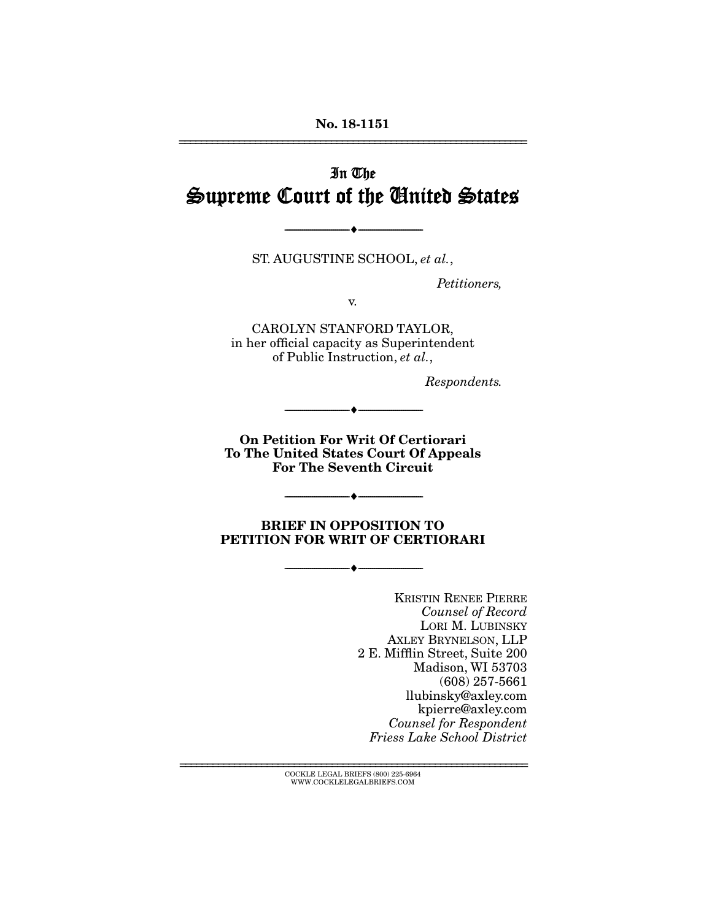# In The Supreme Court of the United States

ST. AUGUSTINE SCHOOL, *et al.*,

--------------------------------- ---------------------------------

*Petitioners,* 

v.

CAROLYN STANFORD TAYLOR, in her official capacity as Superintendent of Public Instruction, *et al.*,

*Respondents.* 

On Petition For Writ Of Certiorari To The United States Court Of Appeals For The Seventh Circuit

--------------------------------- ---------------------------------

--------------------------------- ---------------------------------

BRIEF IN OPPOSITION TO PETITION FOR WRIT OF CERTIORARI

--------------------------------- ---------------------------------

KRISTIN RENEE PIERRE *Counsel of Record* LORI M. LUBINSKY AXLEY BRYNELSON, LLP 2 E. Mifflin Street, Suite 200 Madison, WI 53703 (608) 257-5661 llubinsky@axley.com kpierre@axley.com *Counsel for Respondent Friess Lake School District* 

================================================================ COCKLE LEGAL BRIEFS (800) 225-6964 WWW.COCKLELEGALBRIEFS.COM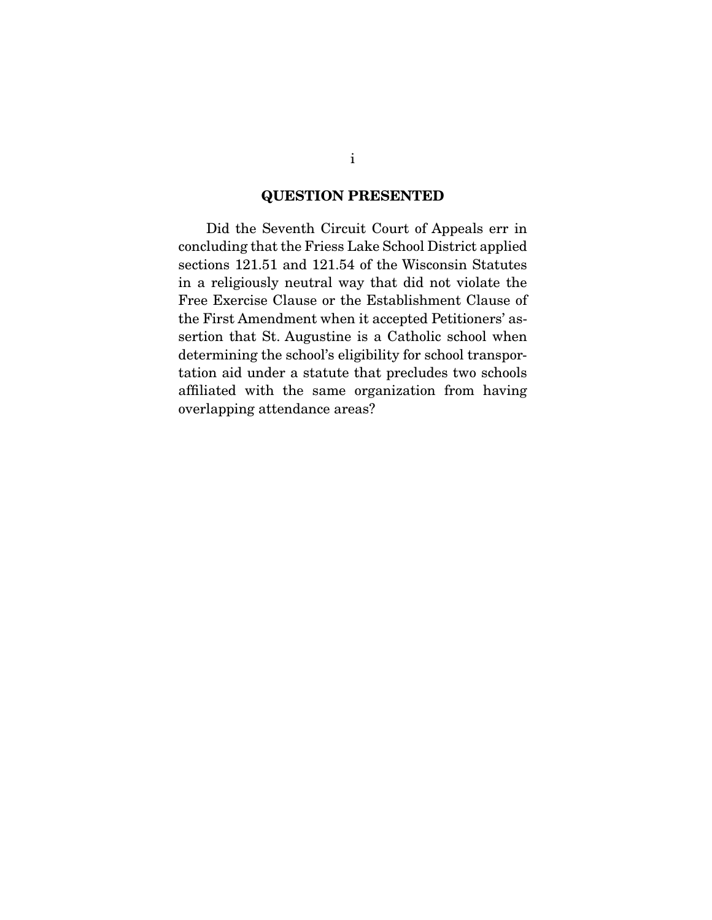#### QUESTION PRESENTED

 Did the Seventh Circuit Court of Appeals err in concluding that the Friess Lake School District applied sections 121.51 and 121.54 of the Wisconsin Statutes in a religiously neutral way that did not violate the Free Exercise Clause or the Establishment Clause of the First Amendment when it accepted Petitioners' assertion that St. Augustine is a Catholic school when determining the school's eligibility for school transportation aid under a statute that precludes two schools affiliated with the same organization from having overlapping attendance areas?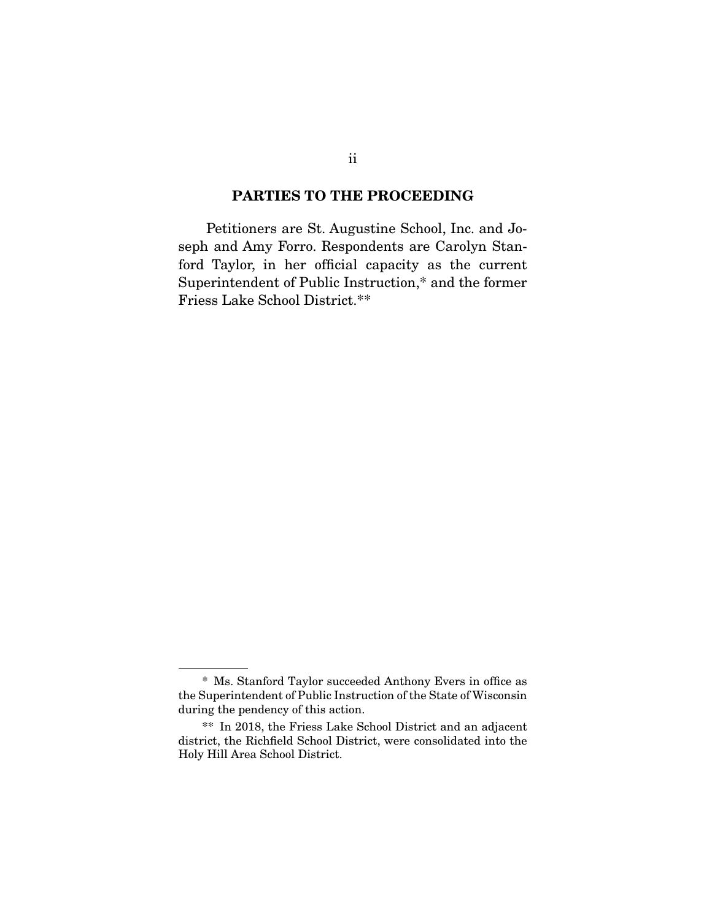#### PARTIES TO THE PROCEEDING

 Petitioners are St. Augustine School, Inc. and Joseph and Amy Forro. Respondents are Carolyn Stanford Taylor, in her official capacity as the current Superintendent of Public Instruction,\* and the former Friess Lake School District.\*\*

 <sup>\*</sup> Ms. Stanford Taylor succeeded Anthony Evers in office as the Superintendent of Public Instruction of the State of Wisconsin during the pendency of this action.

 <sup>\*\*</sup> In 2018, the Friess Lake School District and an adjacent district, the Richfield School District, were consolidated into the Holy Hill Area School District.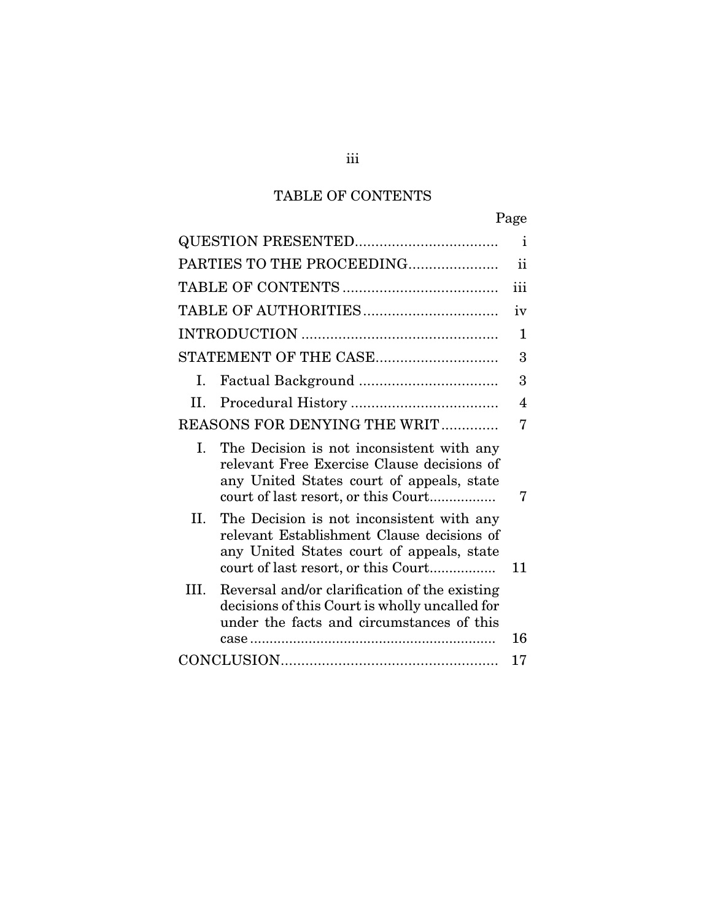## TABLE OF CONTENTS

|                                                                                                                                                                                    | Page          |
|------------------------------------------------------------------------------------------------------------------------------------------------------------------------------------|---------------|
|                                                                                                                                                                                    | $\mathbf{i}$  |
| PARTIES TO THE PROCEEDING                                                                                                                                                          | $\mathbf{ii}$ |
|                                                                                                                                                                                    | iii           |
|                                                                                                                                                                                    | iv            |
|                                                                                                                                                                                    | 1             |
| STATEMENT OF THE CASE                                                                                                                                                              | 3             |
| I.                                                                                                                                                                                 | 3             |
| Η.                                                                                                                                                                                 | 4             |
| <b>REASONS FOR DENYING THE WRIT</b>                                                                                                                                                | 7             |
| L.<br>The Decision is not inconsistent with any<br>relevant Free Exercise Clause decisions of<br>any United States court of appeals, state<br>court of last resort, or this Court  |               |
| II.<br>The Decision is not inconsistent with any<br>relevant Establishment Clause decisions of<br>any United States court of appeals, state<br>court of last resort, or this Court | 11            |
| Reversal and/or clarification of the existing<br>III.<br>decisions of this Court is wholly uncalled for<br>under the facts and circumstances of this                               | 16            |
|                                                                                                                                                                                    | 17            |
|                                                                                                                                                                                    |               |

iii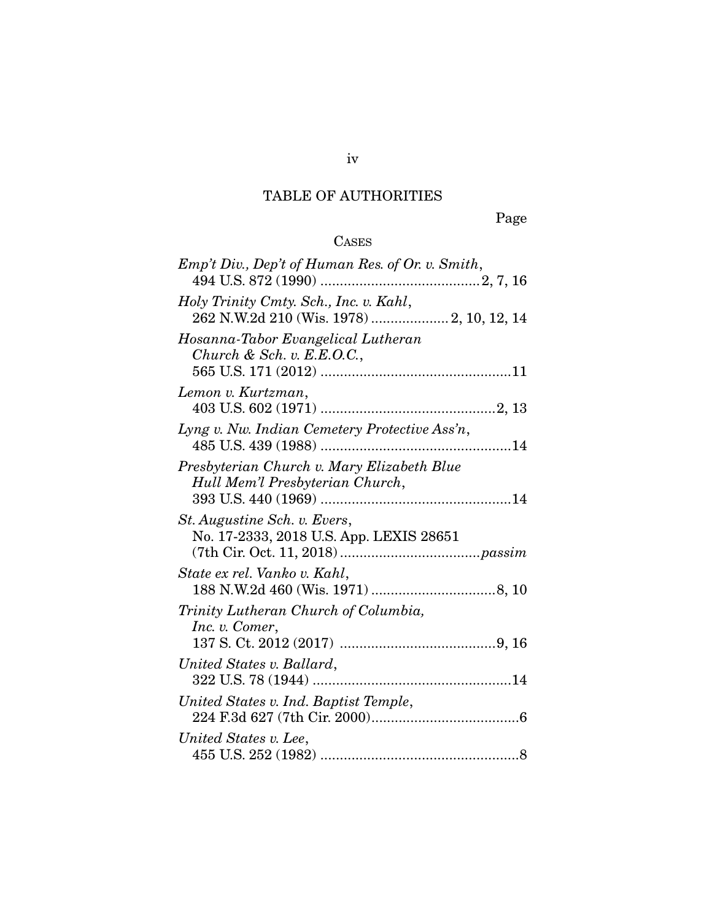## TABLE OF AUTHORITIES

Page

## CASES

| Emp't Div., Dep't of Human Res. of Or. v. Smith,                                    |
|-------------------------------------------------------------------------------------|
| Holy Trinity Cmty. Sch., Inc. v. Kahl,<br>262 N.W.2d 210 (Wis. 1978)  2, 10, 12, 14 |
| Hosanna-Tabor Evangelical Lutheran<br>Church & Sch. v. $E.E.O.C.,$                  |
| Lemon v. Kurtzman,                                                                  |
| Lyng v. Nw. Indian Cemetery Protective Ass'n,                                       |
| Presbyterian Church v. Mary Elizabeth Blue<br>Hull Mem'l Presbyterian Church,       |
| St. Augustine Sch. v. Evers,<br>No. 17-2333, 2018 U.S. App. LEXIS 28651             |
| State ex rel. Vanko v. Kahl,                                                        |
| Trinity Lutheran Church of Columbia,<br>Inc. v. Comer,                              |
| United States v. Ballard,                                                           |
| United States v. Ind. Baptist Temple,                                               |
| United States v. Lee,                                                               |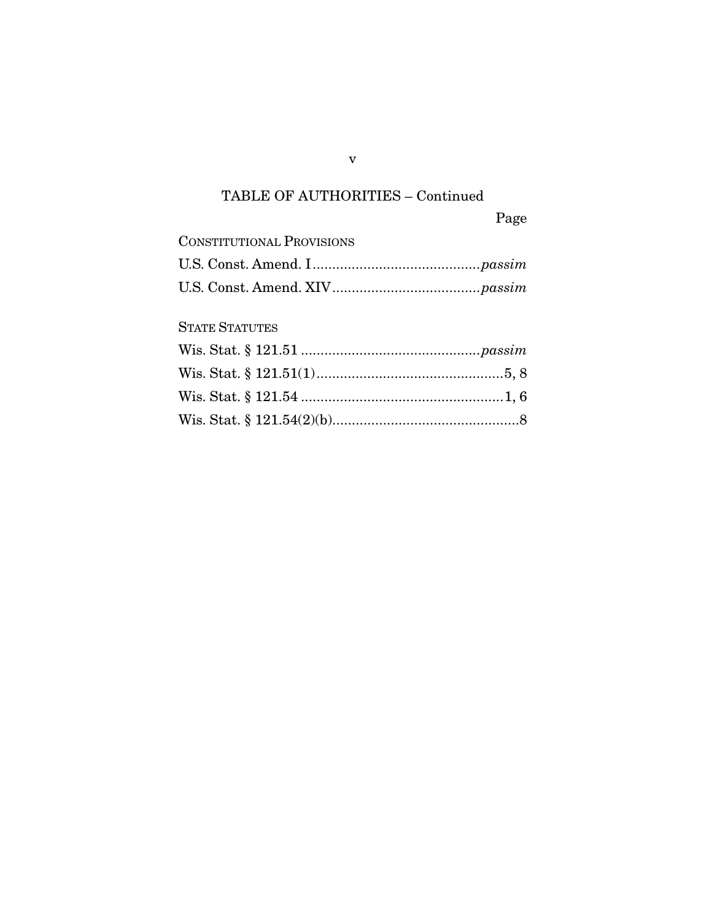## TABLE OF AUTHORITIES – Continued

Page

| <b>CONSTITUTIONAL PROVISIONS</b> |  |
|----------------------------------|--|
|                                  |  |
|                                  |  |

## STATE STATUTES

v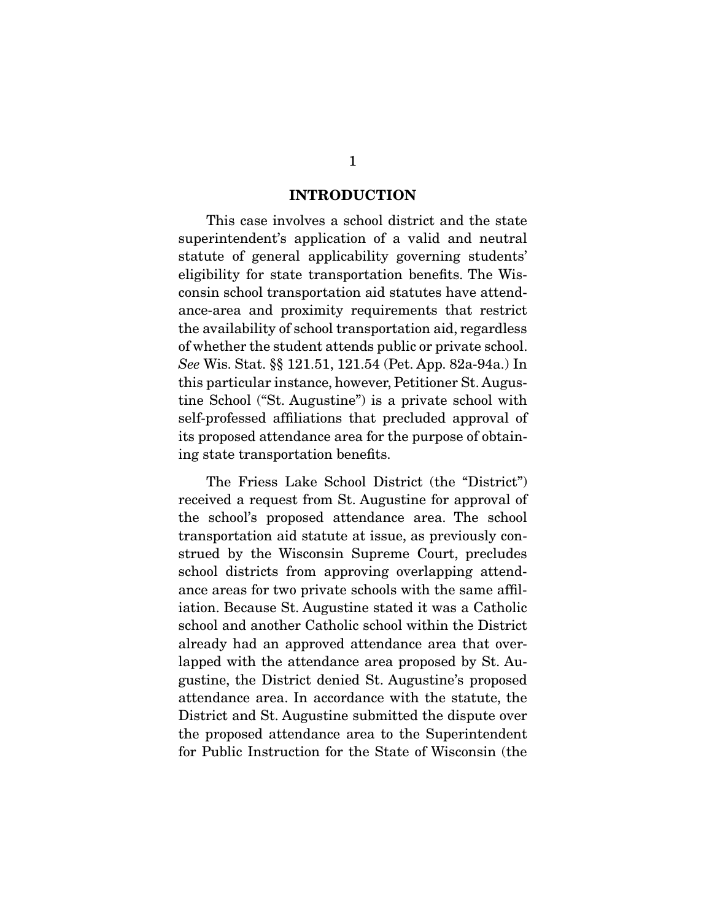#### INTRODUCTION

 This case involves a school district and the state superintendent's application of a valid and neutral statute of general applicability governing students' eligibility for state transportation benefits. The Wisconsin school transportation aid statutes have attendance-area and proximity requirements that restrict the availability of school transportation aid, regardless of whether the student attends public or private school. *See* Wis. Stat. §§ 121.51, 121.54 (Pet. App. 82a-94a.) In this particular instance, however, Petitioner St. Augustine School ("St. Augustine") is a private school with self-professed affiliations that precluded approval of its proposed attendance area for the purpose of obtaining state transportation benefits.

 The Friess Lake School District (the "District") received a request from St. Augustine for approval of the school's proposed attendance area. The school transportation aid statute at issue, as previously construed by the Wisconsin Supreme Court, precludes school districts from approving overlapping attendance areas for two private schools with the same affiliation. Because St. Augustine stated it was a Catholic school and another Catholic school within the District already had an approved attendance area that overlapped with the attendance area proposed by St. Augustine, the District denied St. Augustine's proposed attendance area. In accordance with the statute, the District and St. Augustine submitted the dispute over the proposed attendance area to the Superintendent for Public Instruction for the State of Wisconsin (the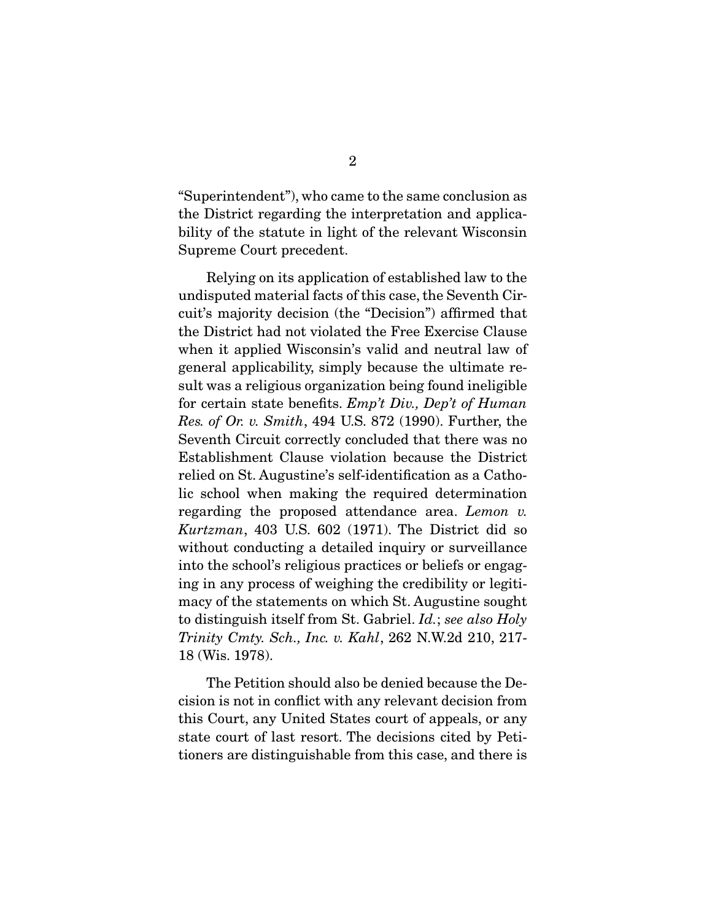"Superintendent"), who came to the same conclusion as the District regarding the interpretation and applicability of the statute in light of the relevant Wisconsin Supreme Court precedent.

 Relying on its application of established law to the undisputed material facts of this case, the Seventh Circuit's majority decision (the "Decision") affirmed that the District had not violated the Free Exercise Clause when it applied Wisconsin's valid and neutral law of general applicability, simply because the ultimate result was a religious organization being found ineligible for certain state benefits. *Emp't Div., Dep't of Human Res. of Or. v. Smith*, 494 U.S. 872 (1990). Further, the Seventh Circuit correctly concluded that there was no Establishment Clause violation because the District relied on St. Augustine's self-identification as a Catholic school when making the required determination regarding the proposed attendance area. *Lemon v. Kurtzman*, 403 U.S. 602 (1971). The District did so without conducting a detailed inquiry or surveillance into the school's religious practices or beliefs or engaging in any process of weighing the credibility or legitimacy of the statements on which St. Augustine sought to distinguish itself from St. Gabriel. *Id.*; *see also Holy Trinity Cmty. Sch., Inc. v. Kahl*, 262 N.W.2d 210, 217- 18 (Wis. 1978).

 The Petition should also be denied because the Decision is not in conflict with any relevant decision from this Court, any United States court of appeals, or any state court of last resort. The decisions cited by Petitioners are distinguishable from this case, and there is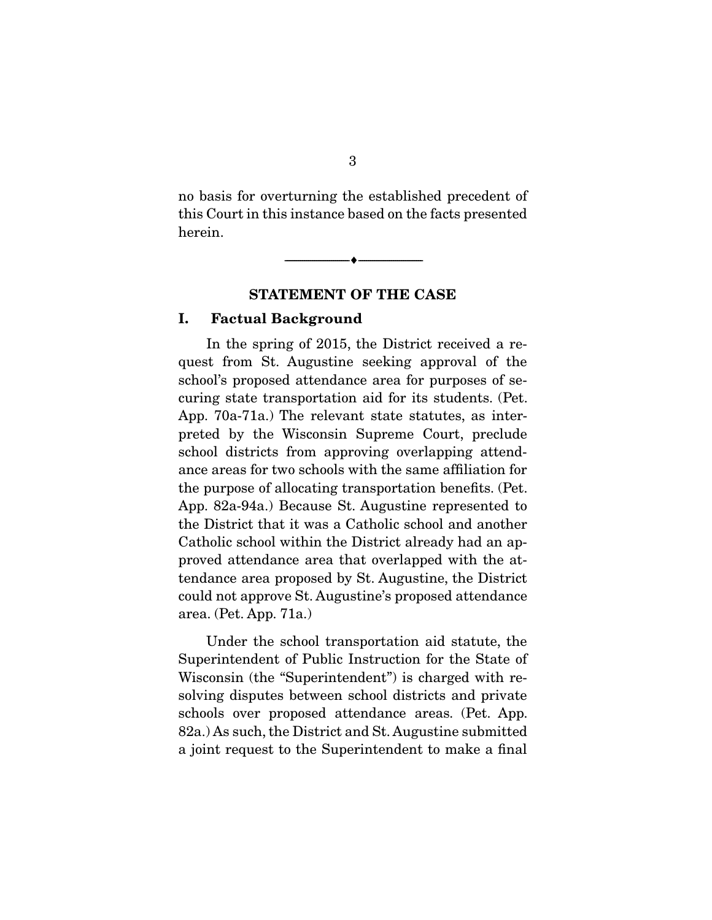no basis for overturning the established precedent of this Court in this instance based on the facts presented herein.

--------------------------------- ---------------------------------

#### STATEMENT OF THE CASE

#### I. Factual Background

 In the spring of 2015, the District received a request from St. Augustine seeking approval of the school's proposed attendance area for purposes of securing state transportation aid for its students. (Pet. App. 70a-71a.) The relevant state statutes, as interpreted by the Wisconsin Supreme Court, preclude school districts from approving overlapping attendance areas for two schools with the same affiliation for the purpose of allocating transportation benefits. (Pet. App. 82a-94a.) Because St. Augustine represented to the District that it was a Catholic school and another Catholic school within the District already had an approved attendance area that overlapped with the attendance area proposed by St. Augustine, the District could not approve St. Augustine's proposed attendance area. (Pet. App. 71a.)

 Under the school transportation aid statute, the Superintendent of Public Instruction for the State of Wisconsin (the "Superintendent") is charged with resolving disputes between school districts and private schools over proposed attendance areas. (Pet. App. 82a.) As such, the District and St. Augustine submitted a joint request to the Superintendent to make a final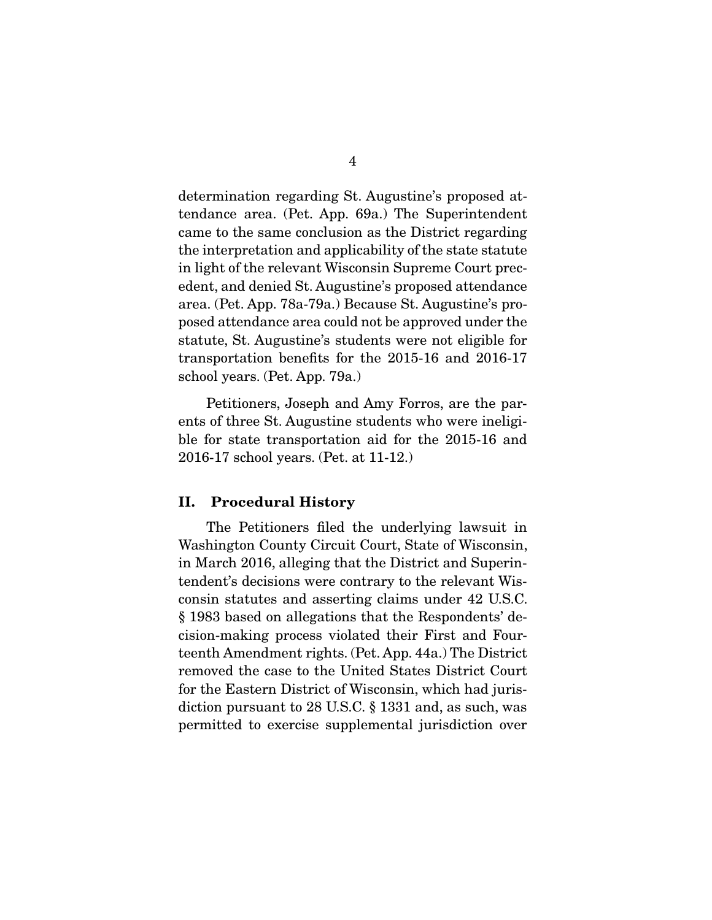determination regarding St. Augustine's proposed attendance area. (Pet. App. 69a.) The Superintendent came to the same conclusion as the District regarding the interpretation and applicability of the state statute in light of the relevant Wisconsin Supreme Court precedent, and denied St. Augustine's proposed attendance area. (Pet. App. 78a-79a.) Because St. Augustine's proposed attendance area could not be approved under the statute, St. Augustine's students were not eligible for transportation benefits for the 2015-16 and 2016-17 school years. (Pet. App. 79a.)

 Petitioners, Joseph and Amy Forros, are the parents of three St. Augustine students who were ineligible for state transportation aid for the 2015-16 and 2016-17 school years. (Pet. at 11-12.)

#### II. Procedural History

 The Petitioners filed the underlying lawsuit in Washington County Circuit Court, State of Wisconsin, in March 2016, alleging that the District and Superintendent's decisions were contrary to the relevant Wisconsin statutes and asserting claims under 42 U.S.C. § 1983 based on allegations that the Respondents' decision-making process violated their First and Fourteenth Amendment rights. (Pet. App. 44a.) The District removed the case to the United States District Court for the Eastern District of Wisconsin, which had jurisdiction pursuant to 28 U.S.C. § 1331 and, as such, was permitted to exercise supplemental jurisdiction over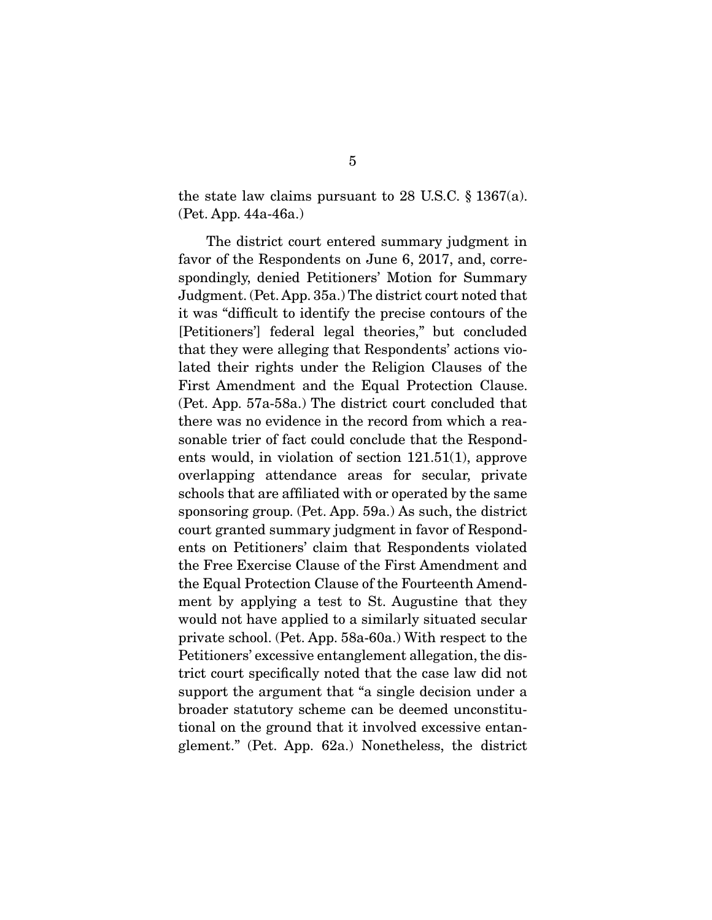the state law claims pursuant to 28 U.S.C. § 1367(a). (Pet. App. 44a-46a.)

 The district court entered summary judgment in favor of the Respondents on June 6, 2017, and, correspondingly, denied Petitioners' Motion for Summary Judgment. (Pet. App. 35a.) The district court noted that it was "difficult to identify the precise contours of the [Petitioners'] federal legal theories," but concluded that they were alleging that Respondents' actions violated their rights under the Religion Clauses of the First Amendment and the Equal Protection Clause. (Pet. App. 57a-58a.) The district court concluded that there was no evidence in the record from which a reasonable trier of fact could conclude that the Respondents would, in violation of section 121.51(1), approve overlapping attendance areas for secular, private schools that are affiliated with or operated by the same sponsoring group. (Pet. App. 59a.) As such, the district court granted summary judgment in favor of Respondents on Petitioners' claim that Respondents violated the Free Exercise Clause of the First Amendment and the Equal Protection Clause of the Fourteenth Amendment by applying a test to St. Augustine that they would not have applied to a similarly situated secular private school. (Pet. App. 58a-60a.) With respect to the Petitioners' excessive entanglement allegation, the district court specifically noted that the case law did not support the argument that "a single decision under a broader statutory scheme can be deemed unconstitutional on the ground that it involved excessive entanglement." (Pet. App. 62a.) Nonetheless, the district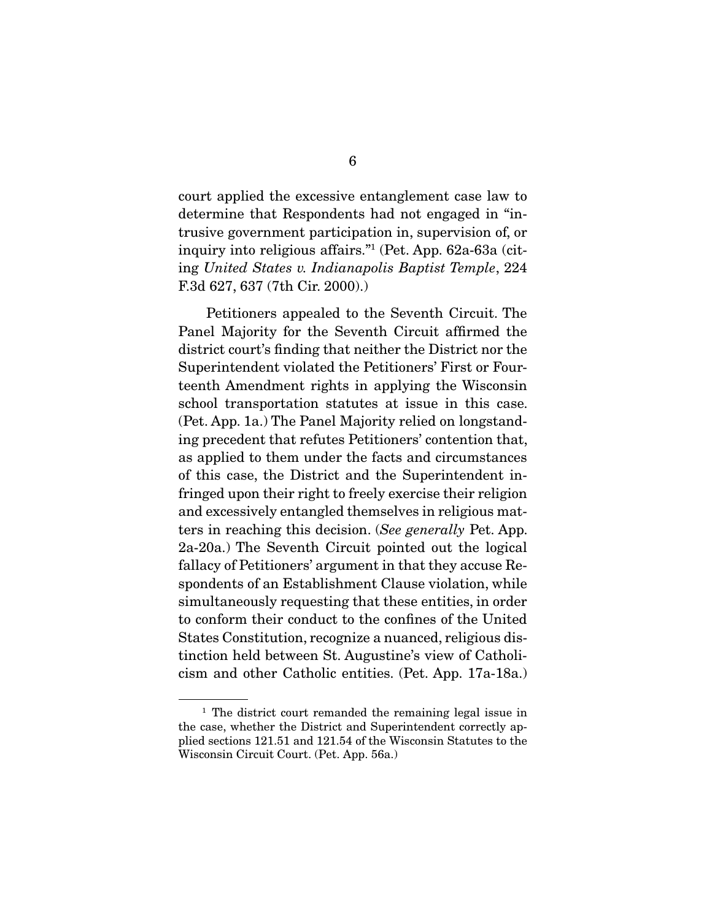court applied the excessive entanglement case law to determine that Respondents had not engaged in "intrusive government participation in, supervision of, or inquiry into religious affairs."1 (Pet. App. 62a-63a (citing *United States v. Indianapolis Baptist Temple*, 224 F.3d 627, 637 (7th Cir. 2000).)

 Petitioners appealed to the Seventh Circuit. The Panel Majority for the Seventh Circuit affirmed the district court's finding that neither the District nor the Superintendent violated the Petitioners' First or Fourteenth Amendment rights in applying the Wisconsin school transportation statutes at issue in this case. (Pet. App. 1a.) The Panel Majority relied on longstanding precedent that refutes Petitioners' contention that, as applied to them under the facts and circumstances of this case, the District and the Superintendent infringed upon their right to freely exercise their religion and excessively entangled themselves in religious matters in reaching this decision. (*See generally* Pet. App. 2a-20a.) The Seventh Circuit pointed out the logical fallacy of Petitioners' argument in that they accuse Respondents of an Establishment Clause violation, while simultaneously requesting that these entities, in order to conform their conduct to the confines of the United States Constitution, recognize a nuanced, religious distinction held between St. Augustine's view of Catholicism and other Catholic entities. (Pet. App. 17a-18a.)

<sup>&</sup>lt;sup>1</sup> The district court remanded the remaining legal issue in the case, whether the District and Superintendent correctly applied sections 121.51 and 121.54 of the Wisconsin Statutes to the Wisconsin Circuit Court. (Pet. App. 56a.)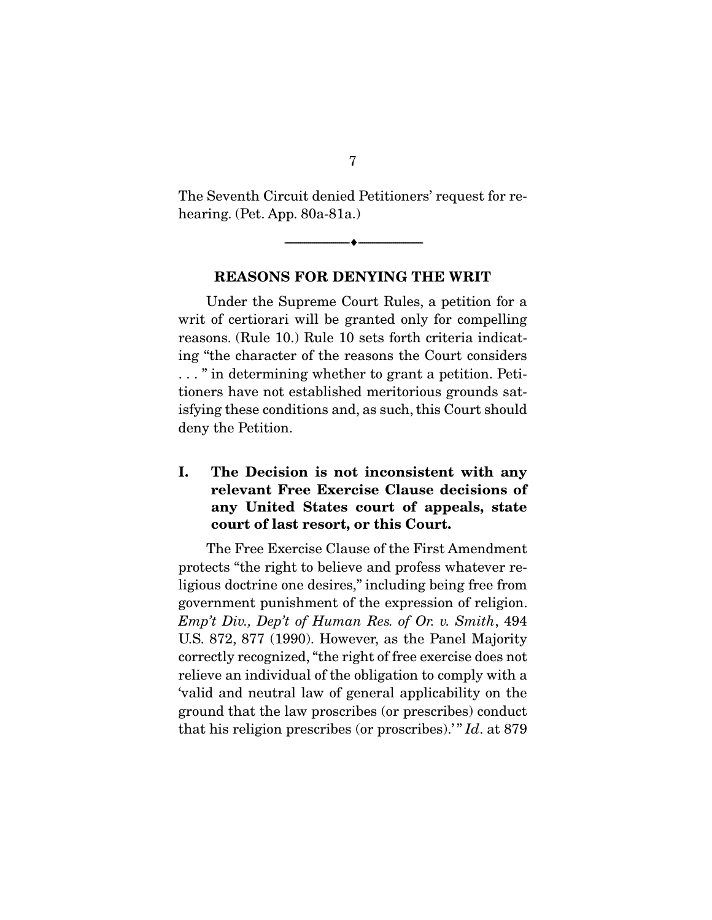The Seventh Circuit denied Petitioners' request for rehearing. (Pet. App. 80a-81a.)

--------------------------------- ---------------------------------

#### REASONS FOR DENYING THE WRIT

 Under the Supreme Court Rules, a petition for a writ of certiorari will be granted only for compelling reasons. (Rule 10.) Rule 10 sets forth criteria indicating "the character of the reasons the Court considers . . . " in determining whether to grant a petition. Petitioners have not established meritorious grounds satisfying these conditions and, as such, this Court should deny the Petition.

### I. The Decision is not inconsistent with any relevant Free Exercise Clause decisions of any United States court of appeals, state court of last resort, or this Court.

 The Free Exercise Clause of the First Amendment protects "the right to believe and profess whatever religious doctrine one desires," including being free from government punishment of the expression of religion. *Emp't Div., Dep't of Human Res. of Or. v. Smith*, 494 U.S. 872, 877 (1990). However, as the Panel Majority correctly recognized, "the right of free exercise does not relieve an individual of the obligation to comply with a 'valid and neutral law of general applicability on the ground that the law proscribes (or prescribes) conduct that his religion prescribes (or proscribes).' " *Id*. at 879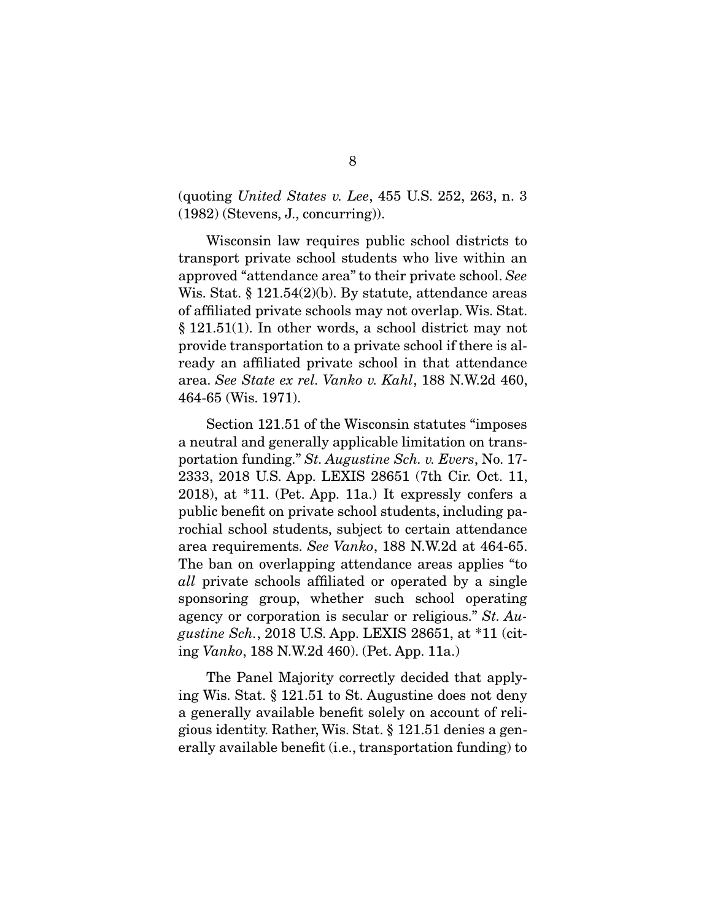(quoting *United States v. Lee*, 455 U.S. 252, 263, n. 3 (1982) (Stevens, J., concurring)).

 Wisconsin law requires public school districts to transport private school students who live within an approved "attendance area" to their private school. *See* Wis. Stat. § 121.54(2)(b). By statute, attendance areas of affiliated private schools may not overlap. Wis. Stat. § 121.51(1). In other words, a school district may not provide transportation to a private school if there is already an affiliated private school in that attendance area. *See State ex rel. Vanko v. Kahl*, 188 N.W.2d 460, 464-65 (Wis. 1971).

 Section 121.51 of the Wisconsin statutes "imposes a neutral and generally applicable limitation on transportation funding." *St. Augustine Sch. v. Evers*, No. 17- 2333, 2018 U.S. App. LEXIS 28651 (7th Cir. Oct. 11, 2018), at \*11. (Pet. App. 11a.) It expressly confers a public benefit on private school students, including parochial school students, subject to certain attendance area requirements. *See Vanko*, 188 N.W.2d at 464-65. The ban on overlapping attendance areas applies "to *all* private schools affiliated or operated by a single sponsoring group, whether such school operating agency or corporation is secular or religious." *St. Augustine Sch.*, 2018 U.S. App. LEXIS 28651, at \*11 (citing *Vanko*, 188 N.W.2d 460). (Pet. App. 11a.)

 The Panel Majority correctly decided that applying Wis. Stat. § 121.51 to St. Augustine does not deny a generally available benefit solely on account of religious identity. Rather, Wis. Stat. § 121.51 denies a generally available benefit (i.e., transportation funding) to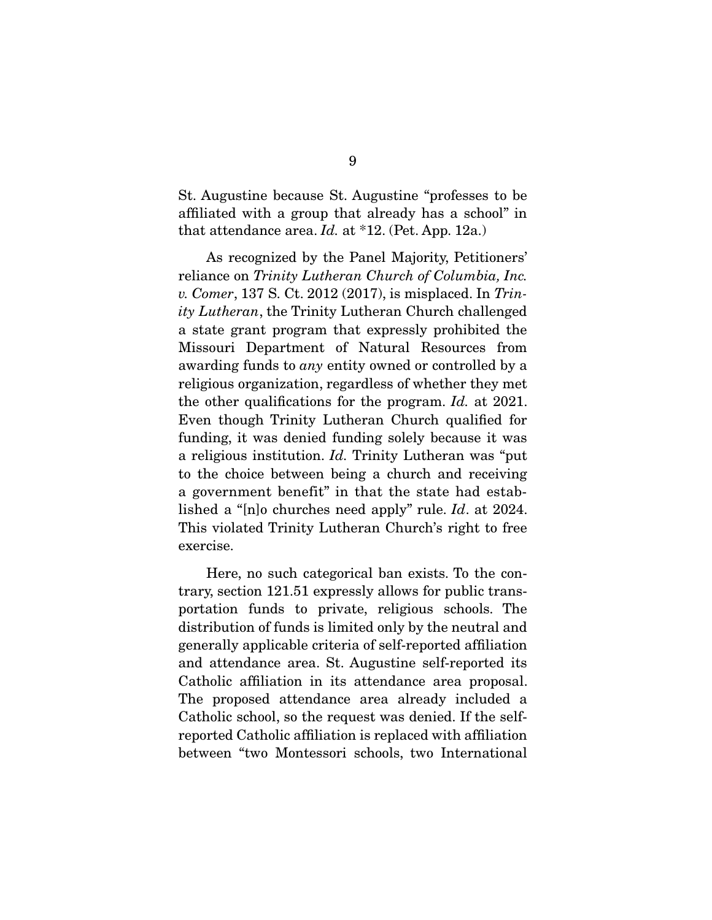St. Augustine because St. Augustine "professes to be affiliated with a group that already has a school" in that attendance area. *Id.* at \*12. (Pet. App. 12a.)

 As recognized by the Panel Majority, Petitioners' reliance on *Trinity Lutheran Church of Columbia, Inc. v. Comer*, 137 S. Ct. 2012 (2017), is misplaced. In *Trinity Lutheran*, the Trinity Lutheran Church challenged a state grant program that expressly prohibited the Missouri Department of Natural Resources from awarding funds to *any* entity owned or controlled by a religious organization, regardless of whether they met the other qualifications for the program. *Id.* at 2021. Even though Trinity Lutheran Church qualified for funding, it was denied funding solely because it was a religious institution. *Id.* Trinity Lutheran was "put to the choice between being a church and receiving a government benefit" in that the state had established a "[n]o churches need apply" rule. *Id*. at 2024. This violated Trinity Lutheran Church's right to free exercise.

 Here, no such categorical ban exists. To the contrary, section 121.51 expressly allows for public transportation funds to private, religious schools. The distribution of funds is limited only by the neutral and generally applicable criteria of self-reported affiliation and attendance area. St. Augustine self-reported its Catholic affiliation in its attendance area proposal. The proposed attendance area already included a Catholic school, so the request was denied. If the selfreported Catholic affiliation is replaced with affiliation between "two Montessori schools, two International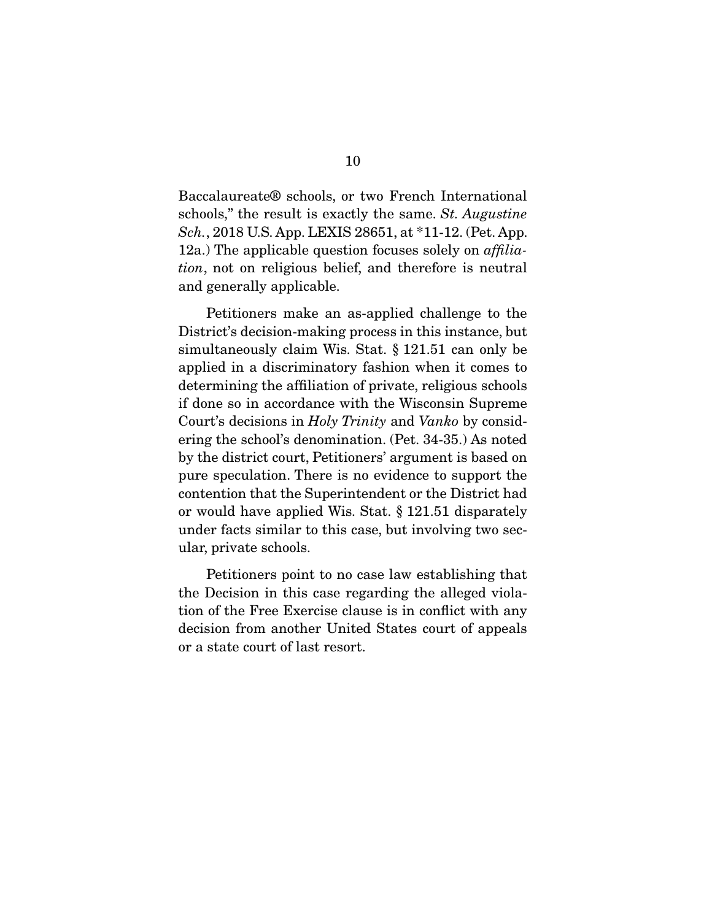Baccalaureate® schools, or two French International schools," the result is exactly the same. *St. Augustine Sch.*, 2018 U.S. App. LEXIS 28651, at \*11-12. (Pet. App. 12a.) The applicable question focuses solely on *affiliation*, not on religious belief, and therefore is neutral and generally applicable.

 Petitioners make an as-applied challenge to the District's decision-making process in this instance, but simultaneously claim Wis. Stat. § 121.51 can only be applied in a discriminatory fashion when it comes to determining the affiliation of private, religious schools if done so in accordance with the Wisconsin Supreme Court's decisions in *Holy Trinity* and *Vanko* by considering the school's denomination. (Pet. 34-35.) As noted by the district court, Petitioners' argument is based on pure speculation. There is no evidence to support the contention that the Superintendent or the District had or would have applied Wis. Stat. § 121.51 disparately under facts similar to this case, but involving two secular, private schools.

 Petitioners point to no case law establishing that the Decision in this case regarding the alleged violation of the Free Exercise clause is in conflict with any decision from another United States court of appeals or a state court of last resort.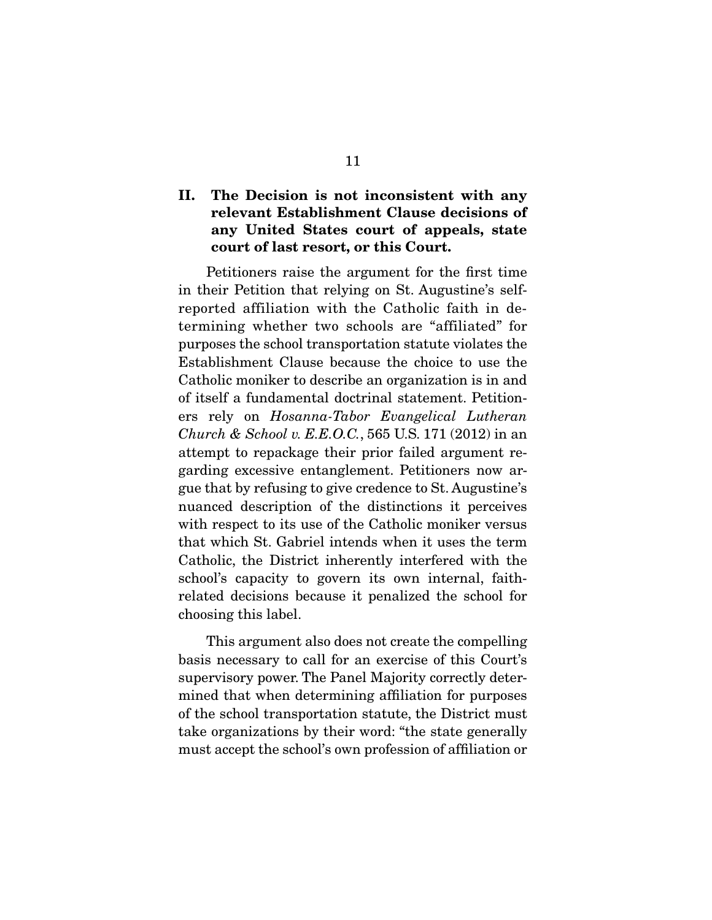### II. The Decision is not inconsistent with any relevant Establishment Clause decisions of any United States court of appeals, state court of last resort, or this Court.

 Petitioners raise the argument for the first time in their Petition that relying on St. Augustine's selfreported affiliation with the Catholic faith in determining whether two schools are "affiliated" for purposes the school transportation statute violates the Establishment Clause because the choice to use the Catholic moniker to describe an organization is in and of itself a fundamental doctrinal statement. Petitioners rely on *Hosanna-Tabor Evangelical Lutheran Church & School v. E.E.O.C.*, 565 U.S. 171 (2012) in an attempt to repackage their prior failed argument regarding excessive entanglement. Petitioners now argue that by refusing to give credence to St. Augustine's nuanced description of the distinctions it perceives with respect to its use of the Catholic moniker versus that which St. Gabriel intends when it uses the term Catholic, the District inherently interfered with the school's capacity to govern its own internal, faithrelated decisions because it penalized the school for choosing this label.

 This argument also does not create the compelling basis necessary to call for an exercise of this Court's supervisory power. The Panel Majority correctly determined that when determining affiliation for purposes of the school transportation statute, the District must take organizations by their word: "the state generally must accept the school's own profession of affiliation or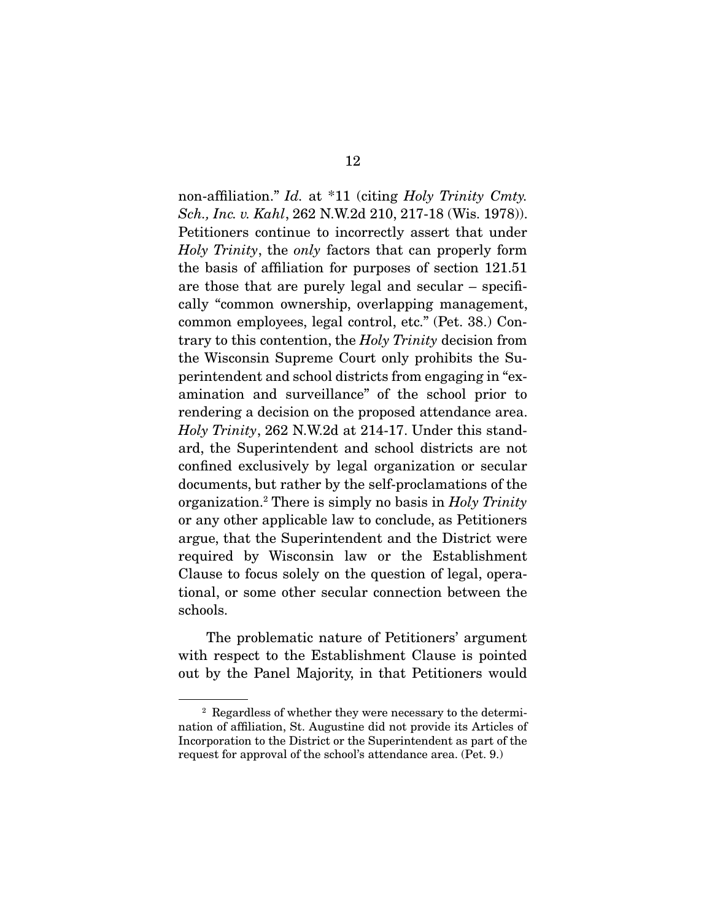non-affiliation." *Id.* at \*11 (citing *Holy Trinity Cmty. Sch., Inc. v. Kahl*, 262 N.W.2d 210, 217-18 (Wis. 1978)). Petitioners continue to incorrectly assert that under *Holy Trinity*, the *only* factors that can properly form the basis of affiliation for purposes of section 121.51 are those that are purely legal and secular – specifically "common ownership, overlapping management, common employees, legal control, etc." (Pet. 38.) Contrary to this contention, the *Holy Trinity* decision from the Wisconsin Supreme Court only prohibits the Superintendent and school districts from engaging in "examination and surveillance" of the school prior to rendering a decision on the proposed attendance area. *Holy Trinity*, 262 N.W.2d at 214-17. Under this standard, the Superintendent and school districts are not confined exclusively by legal organization or secular documents, but rather by the self-proclamations of the organization.2 There is simply no basis in *Holy Trinity* or any other applicable law to conclude, as Petitioners argue, that the Superintendent and the District were required by Wisconsin law or the Establishment Clause to focus solely on the question of legal, operational, or some other secular connection between the schools.

 The problematic nature of Petitioners' argument with respect to the Establishment Clause is pointed out by the Panel Majority, in that Petitioners would

<sup>2</sup> Regardless of whether they were necessary to the determination of affiliation, St. Augustine did not provide its Articles of Incorporation to the District or the Superintendent as part of the request for approval of the school's attendance area. (Pet. 9.)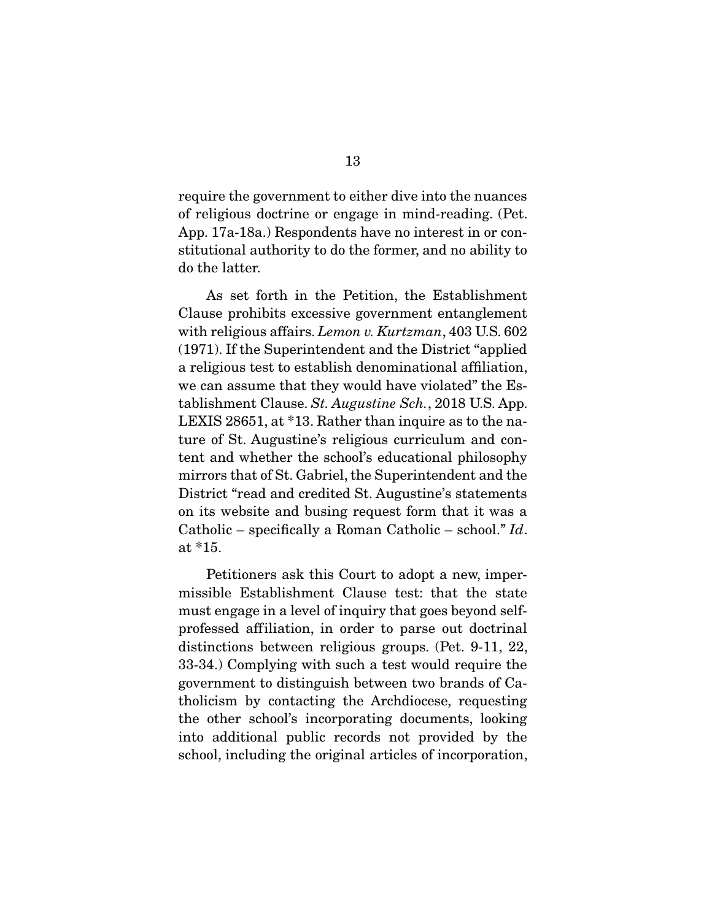require the government to either dive into the nuances of religious doctrine or engage in mind-reading. (Pet. App. 17a-18a.) Respondents have no interest in or constitutional authority to do the former, and no ability to do the latter.

 As set forth in the Petition, the Establishment Clause prohibits excessive government entanglement with religious affairs. *Lemon v. Kurtzman*, 403 U.S. 602 (1971). If the Superintendent and the District "applied a religious test to establish denominational affiliation, we can assume that they would have violated" the Establishment Clause. *St. Augustine Sch.*, 2018 U.S. App. LEXIS 28651, at \*13. Rather than inquire as to the nature of St. Augustine's religious curriculum and content and whether the school's educational philosophy mirrors that of St. Gabriel, the Superintendent and the District "read and credited St. Augustine's statements on its website and busing request form that it was a Catholic – specifically a Roman Catholic – school." *Id*. at \*15.

 Petitioners ask this Court to adopt a new, impermissible Establishment Clause test: that the state must engage in a level of inquiry that goes beyond selfprofessed affiliation, in order to parse out doctrinal distinctions between religious groups. (Pet. 9-11, 22, 33-34.) Complying with such a test would require the government to distinguish between two brands of Catholicism by contacting the Archdiocese, requesting the other school's incorporating documents, looking into additional public records not provided by the school, including the original articles of incorporation,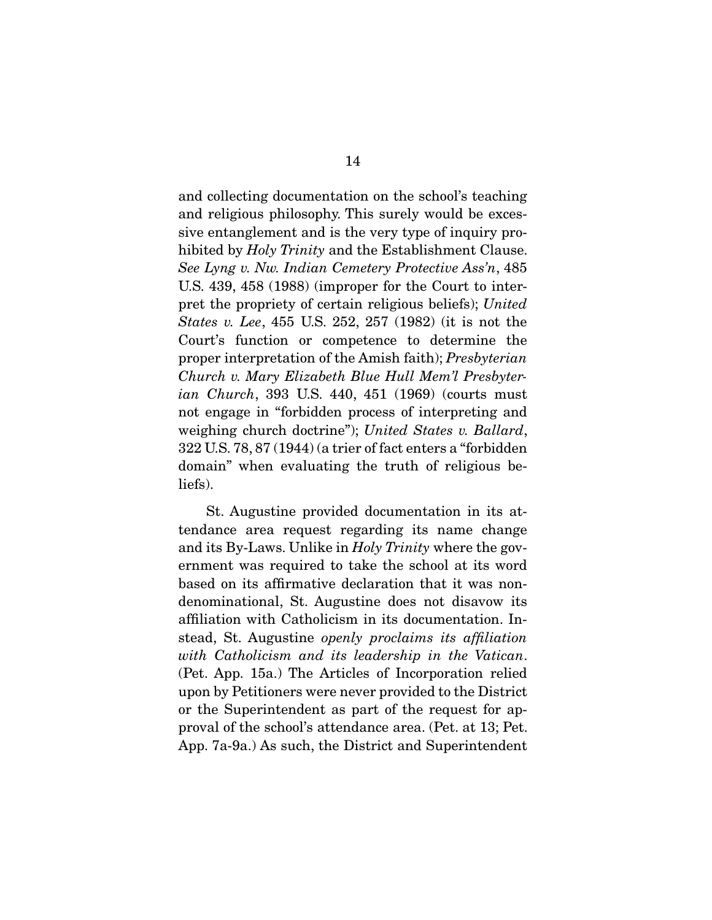and collecting documentation on the school's teaching and religious philosophy. This surely would be excessive entanglement and is the very type of inquiry prohibited by *Holy Trinity* and the Establishment Clause. *See Lyng v. Nw. Indian Cemetery Protective Ass'n*, 485 U.S. 439, 458 (1988) (improper for the Court to interpret the propriety of certain religious beliefs); *United States v. Lee*, 455 U.S. 252, 257 (1982) (it is not the Court's function or competence to determine the proper interpretation of the Amish faith); *Presbyterian Church v. Mary Elizabeth Blue Hull Mem'l Presbyterian Church*, 393 U.S. 440, 451 (1969) (courts must not engage in "forbidden process of interpreting and weighing church doctrine"); *United States v. Ballard*, 322 U.S. 78, 87 (1944) (a trier of fact enters a "forbidden domain" when evaluating the truth of religious beliefs).

 St. Augustine provided documentation in its attendance area request regarding its name change and its By-Laws. Unlike in *Holy Trinity* where the government was required to take the school at its word based on its affirmative declaration that it was nondenominational, St. Augustine does not disavow its affiliation with Catholicism in its documentation. Instead, St. Augustine *openly proclaims its affiliation with Catholicism and its leadership in the Vatican*. (Pet. App. 15a.) The Articles of Incorporation relied upon by Petitioners were never provided to the District or the Superintendent as part of the request for approval of the school's attendance area. (Pet. at 13; Pet. App. 7a-9a.) As such, the District and Superintendent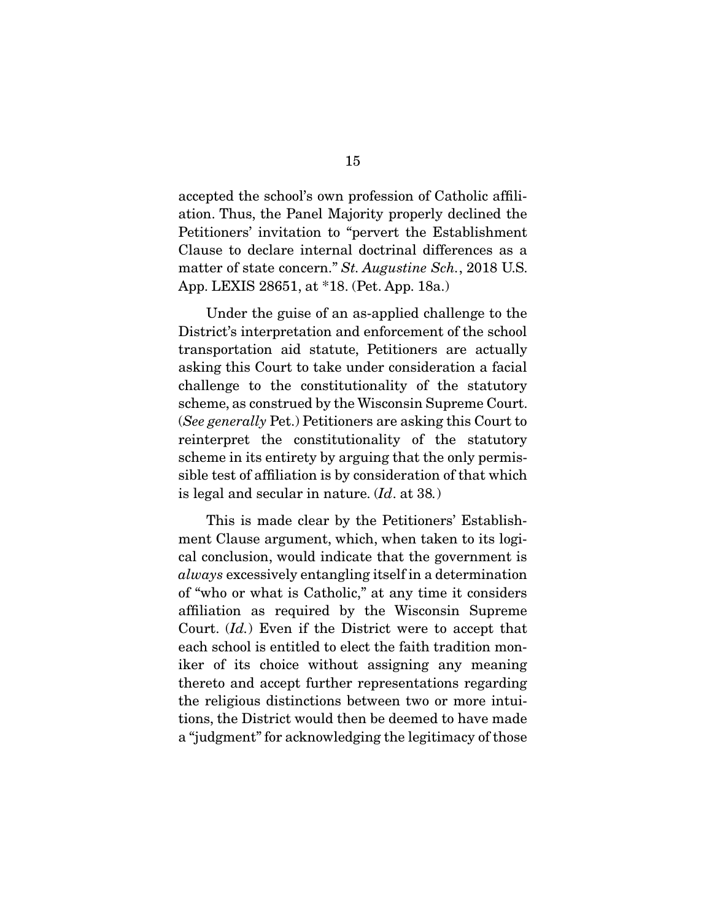accepted the school's own profession of Catholic affiliation. Thus, the Panel Majority properly declined the Petitioners' invitation to "pervert the Establishment Clause to declare internal doctrinal differences as a matter of state concern." *St. Augustine Sch.*, 2018 U.S. App. LEXIS 28651, at \*18. (Pet. App. 18a.)

 Under the guise of an as-applied challenge to the District's interpretation and enforcement of the school transportation aid statute, Petitioners are actually asking this Court to take under consideration a facial challenge to the constitutionality of the statutory scheme, as construed by the Wisconsin Supreme Court. (*See generally* Pet.) Petitioners are asking this Court to reinterpret the constitutionality of the statutory scheme in its entirety by arguing that the only permissible test of affiliation is by consideration of that which is legal and secular in nature. (*Id*. at 38*.*)

 This is made clear by the Petitioners' Establishment Clause argument, which, when taken to its logical conclusion, would indicate that the government is *always* excessively entangling itself in a determination of "who or what is Catholic," at any time it considers affiliation as required by the Wisconsin Supreme Court. (*Id.*) Even if the District were to accept that each school is entitled to elect the faith tradition moniker of its choice without assigning any meaning thereto and accept further representations regarding the religious distinctions between two or more intuitions, the District would then be deemed to have made a "judgment" for acknowledging the legitimacy of those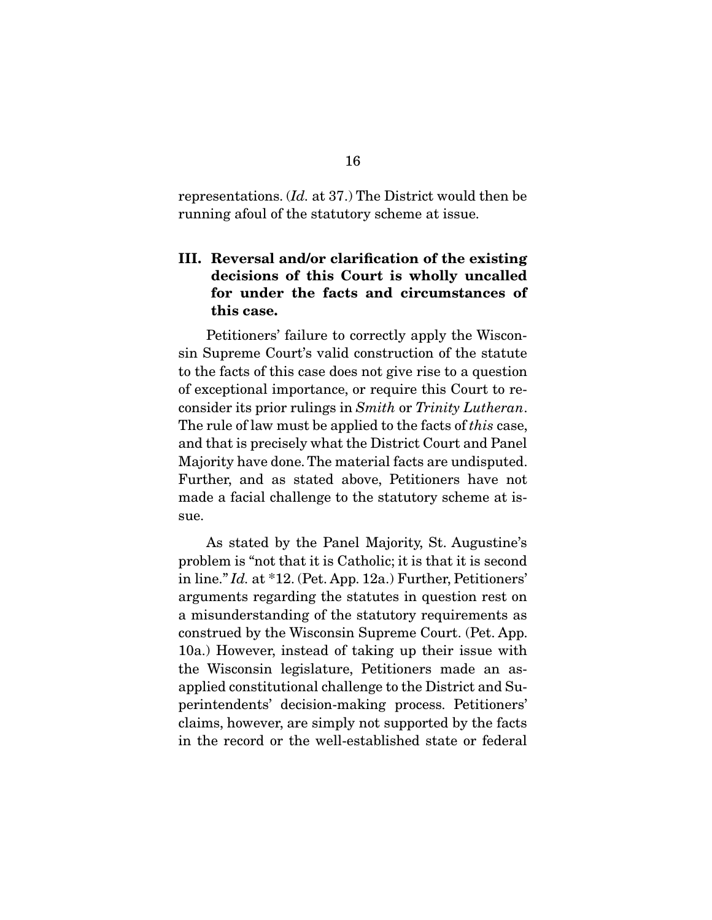representations. (*Id.* at 37.) The District would then be running afoul of the statutory scheme at issue.

### III. Reversal and/or clarification of the existing decisions of this Court is wholly uncalled for under the facts and circumstances of this case.

 Petitioners' failure to correctly apply the Wisconsin Supreme Court's valid construction of the statute to the facts of this case does not give rise to a question of exceptional importance, or require this Court to reconsider its prior rulings in *Smith* or *Trinity Lutheran*. The rule of law must be applied to the facts of *this* case, and that is precisely what the District Court and Panel Majority have done. The material facts are undisputed. Further, and as stated above, Petitioners have not made a facial challenge to the statutory scheme at issue.

 As stated by the Panel Majority, St. Augustine's problem is "not that it is Catholic; it is that it is second in line." *Id.* at \*12. (Pet. App. 12a.) Further, Petitioners' arguments regarding the statutes in question rest on a misunderstanding of the statutory requirements as construed by the Wisconsin Supreme Court. (Pet. App. 10a.) However, instead of taking up their issue with the Wisconsin legislature, Petitioners made an asapplied constitutional challenge to the District and Superintendents' decision-making process. Petitioners' claims, however, are simply not supported by the facts in the record or the well-established state or federal